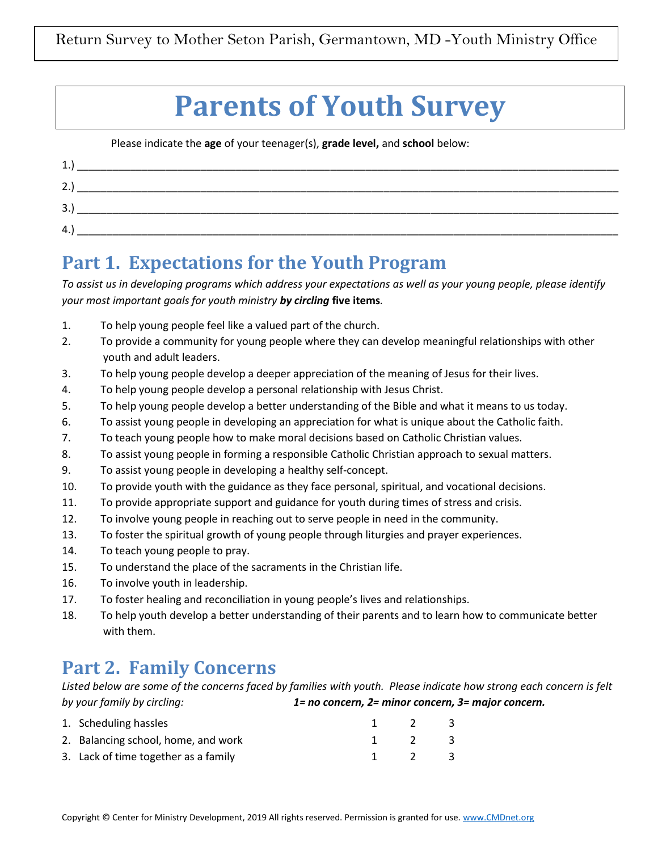# **Parents of Youth Survey**

Please indicate the **age** of your teenager(s), **grade level,** and **school** below:

| 1.<br><u>д.</u> |  |  |
|-----------------|--|--|
| 2.1             |  |  |
| 3.              |  |  |
| 4.              |  |  |

# **Part 1. Expectations for the Youth Program**

*To assist us in developing programs which address your expectations as well as your young people, please identify your most important goals for youth ministry by circling* **five items***.* 

- 1. To help young people feel like a valued part of the church.
- 2. To provide a community for young people where they can develop meaningful relationships with other youth and adult leaders.
- 3. To help young people develop a deeper appreciation of the meaning of Jesus for their lives.
- 4. To help young people develop a personal relationship with Jesus Christ.
- 5. To help young people develop a better understanding of the Bible and what it means to us today.
- 6. To assist young people in developing an appreciation for what is unique about the Catholic faith.
- 7. To teach young people how to make moral decisions based on Catholic Christian values.
- 8. To assist young people in forming a responsible Catholic Christian approach to sexual matters.
- 9. To assist young people in developing a healthy self-concept.
- 10. To provide youth with the guidance as they face personal, spiritual, and vocational decisions.
- 11. To provide appropriate support and guidance for youth during times of stress and crisis.
- 12. To involve young people in reaching out to serve people in need in the community.
- 13. To foster the spiritual growth of young people through liturgies and prayer experiences.
- 14. To teach young people to pray.
- 15. To understand the place of the sacraments in the Christian life.
- 16. To involve youth in leadership.
- 17. To foster healing and reconciliation in young people's lives and relationships.
- 18. To help youth develop a better understanding of their parents and to learn how to communicate better with them.

# **Part 2. Family Concerns**

*Listed below are some of the concerns faced by families with youth. Please indicate how strong each concern is felt by your family by circling: 1= no concern, 2= minor concern, 3= major concern.*

| 1. Scheduling hassles                |             | $\overline{2}$ | - 3- |
|--------------------------------------|-------------|----------------|------|
| 2. Balancing school, home, and work  | $1 \quad 2$ | - 3            |      |
| 3. Lack of time together as a family |             | 1 2 3          |      |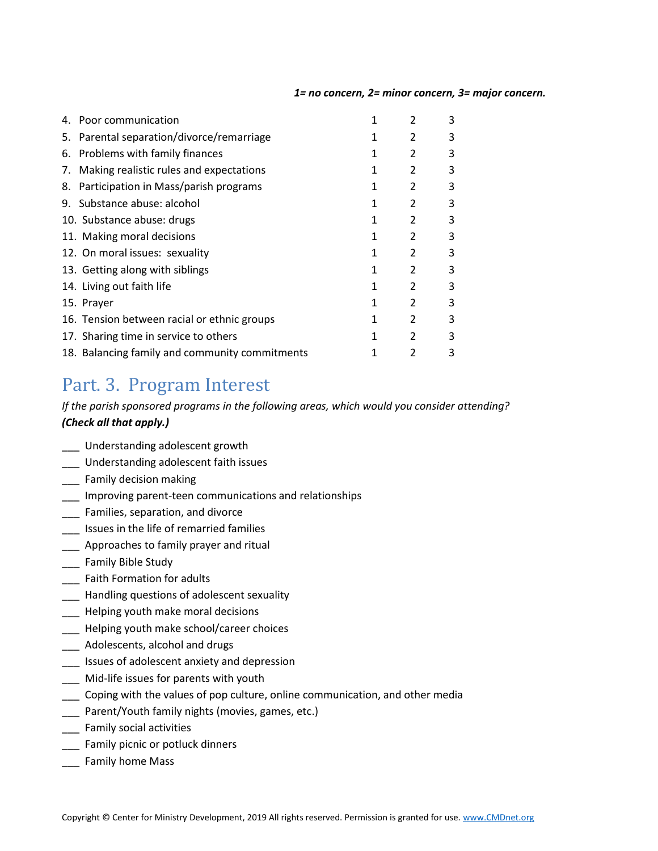#### *1= no concern, 2= minor concern, 3= major concern.*

|    | 4. Poor communication                          |   | 2 | 3 |
|----|------------------------------------------------|---|---|---|
|    | 5. Parental separation/divorce/remarriage      | 1 | 2 | 3 |
| 6. | Problems with family finances                  | 1 | 2 | 3 |
| 7. | Making realistic rules and expectations        | 1 | 2 | 3 |
| 8. | Participation in Mass/parish programs          | 1 | 2 | 3 |
|    | 9. Substance abuse: alcohol                    | 1 | 2 | 3 |
|    | 10. Substance abuse: drugs                     | 1 | 2 | 3 |
|    | 11. Making moral decisions                     | 1 | 2 | 3 |
|    | 12. On moral issues: sexuality                 | 1 | 2 | 3 |
|    | 13. Getting along with siblings                | 1 | 2 | 3 |
|    | 14. Living out faith life                      | 1 | 2 | 3 |
|    | 15. Prayer                                     | 1 | 2 | 3 |
|    | 16. Tension between racial or ethnic groups    | 1 | 2 | 3 |
|    | 17. Sharing time in service to others          | 1 | 2 | 3 |
|    | 18. Balancing family and community commitments |   | 2 | 3 |

### Part. 3. Program Interest

### *If the parish sponsored programs in the following areas, which would you consider attending? (Check all that apply.)*

- \_\_\_ Understanding adolescent growth
- \_\_\_ Understanding adolescent faith issues
- \_\_\_ Family decision making
- \_\_\_ Improving parent-teen communications and relationships
- \_\_\_ Families, separation, and divorce
- \_\_\_ Issues in the life of remarried families
- **\_\_\_** Approaches to family prayer and ritual
- \_\_\_ Family Bible Study
- **\_\_\_** Faith Formation for adults
- **\_\_\_** Handling questions of adolescent sexuality
- \_\_\_ Helping youth make moral decisions
- \_\_\_ Helping youth make school/career choices
- \_\_\_ Adolescents, alcohol and drugs
- \_\_\_ Issues of adolescent anxiety and depression
- \_\_\_ Mid-life issues for parents with youth
- \_\_\_ Coping with the values of pop culture, online communication, and other media
- \_\_\_ Parent/Youth family nights (movies, games, etc.)
- \_\_\_ Family social activities
- \_\_\_ Family picnic or potluck dinners
- \_\_\_ Family home Mass